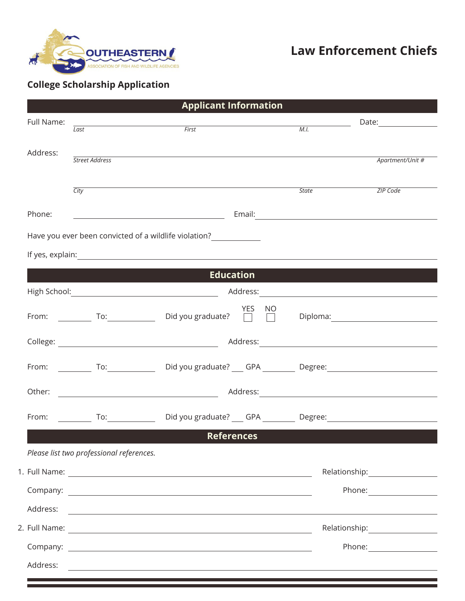

# **Law Enforcement Chiefs**

## **College Scholarship Application**

|            |                                                             | <b>Applicant Information</b>                                                                                         |                                                               |                                     |  |
|------------|-------------------------------------------------------------|----------------------------------------------------------------------------------------------------------------------|---------------------------------------------------------------|-------------------------------------|--|
| Full Name: | $\overline{Last}$                                           | First                                                                                                                | M.I.                                                          |                                     |  |
|            |                                                             |                                                                                                                      |                                                               |                                     |  |
| Address:   | Street Address                                              |                                                                                                                      |                                                               | Apartment/Unit #                    |  |
|            |                                                             |                                                                                                                      |                                                               |                                     |  |
|            | City                                                        |                                                                                                                      | <b>State</b>                                                  | ZIP Code                            |  |
| Phone:     |                                                             |                                                                                                                      |                                                               |                                     |  |
|            |                                                             | Have you ever been convicted of a wildlife violation?                                                                |                                                               |                                     |  |
|            |                                                             |                                                                                                                      |                                                               |                                     |  |
|            | <u> 1989 - Johann Stoff, Amerikaansk politiker (* 1908)</u> |                                                                                                                      | Education <b>Experience of the Community of the Community</b> |                                     |  |
|            |                                                             |                                                                                                                      |                                                               |                                     |  |
|            |                                                             | YES NO<br>From: To: To: Did you graduate? Deploma: Diploma:                                                          |                                                               |                                     |  |
|            |                                                             |                                                                                                                      |                                                               |                                     |  |
|            |                                                             | From: ____________ To: _________________ Did you graduate? ____ GPA ___________ Degree: ______________________       |                                                               |                                     |  |
| Other:     |                                                             |                                                                                                                      |                                                               |                                     |  |
|            | From: To:                                                   |                                                                                                                      |                                                               |                                     |  |
|            |                                                             | <b>References</b>                                                                                                    |                                                               |                                     |  |
|            | Please list two professional references.                    |                                                                                                                      |                                                               |                                     |  |
|            |                                                             |                                                                                                                      |                                                               | Relationship:______________________ |  |
|            |                                                             |                                                                                                                      |                                                               |                                     |  |
| Address:   |                                                             | <u> 1989 - Jan Samuel Barbara, martin a shekara tsara na shekara tsa a shekara tsa a tsara tsa a tsara tsa a tsa</u> |                                                               |                                     |  |
|            |                                                             |                                                                                                                      |                                                               |                                     |  |
|            |                                                             |                                                                                                                      |                                                               |                                     |  |
| Address:   |                                                             | <u> 1989 - Johann Stoff, amerikansk politiker (d. 1989)</u>                                                          |                                                               |                                     |  |
|            |                                                             | <u> 1989 - Jan Samuel Barbara, marka a shekara ta 1989 - Ann an tsarann an tsarann an tsarann an tsarann an tsar</u> |                                                               |                                     |  |